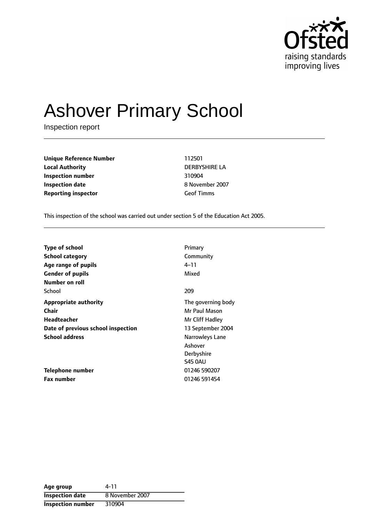

# Ashover Primary School

Inspection report

**Unique Reference Number** 112501 **Local Authority** DERBYSHIRE LA **Inspection number** 310904 **Inspection date** 8 November 2007 **Reporting inspector** Geof Timms

This inspection of the school was carried out under section 5 of the Education Act 2005.

| <b>Type of school</b>              | Primary            |
|------------------------------------|--------------------|
| <b>School category</b>             | Community          |
| Age range of pupils                | 4–11               |
| <b>Gender of pupils</b>            | Mixed              |
| Number on roll                     |                    |
| School                             | 209                |
| <b>Appropriate authority</b>       | The governing body |
| <b>Chair</b>                       | Mr Paul Mason      |
| Headteacher                        | Mr Cliff Hadley    |
| Date of previous school inspection | 13 September 2004  |
| <b>School address</b>              | Narrowleys Lane    |
|                                    | Ashover            |
|                                    | Derbyshire         |
|                                    | <b>S45 0AU</b>     |
| Telephone number                   | 01246 590207       |
| <b>Fax number</b>                  | 01246 591454       |

| Age group                | 4-11            |
|--------------------------|-----------------|
| <b>Inspection date</b>   | 8 November 2007 |
| <b>Inspection number</b> | 310904          |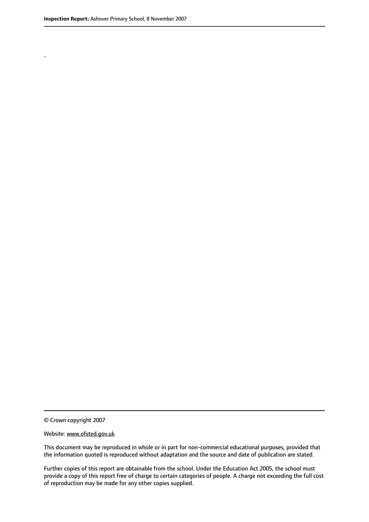.

This document may be reproduced in whole or in part for non-commercial educational purposes, provided that the information quoted is reproduced without adaptation and the source and date of publication are stated.

Further copies of this report are obtainable from the school. Under the Education Act 2005, the school must provide a copy of this report free of charge to certain categories of people. A charge not exceeding the full cost of reproduction may be made for any other copies supplied.

<sup>©</sup> Crown copyright 2007

Website: www.ofsted.gov.uk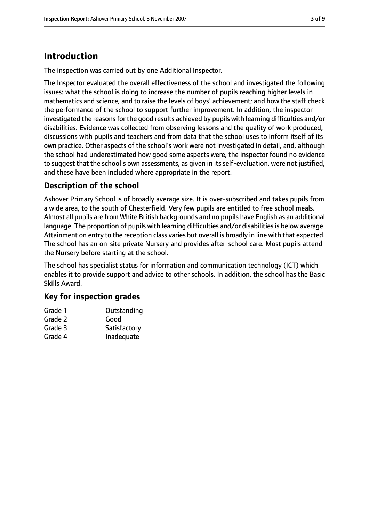# **Introduction**

The inspection was carried out by one Additional Inspector.

The Inspector evaluated the overall effectiveness of the school and investigated the following issues: what the school is doing to increase the number of pupils reaching higher levels in mathematics and science, and to raise the levels of boys' achievement; and how the staff check the performance of the school to support further improvement. In addition, the inspector investigated the reasons for the good results achieved by pupils with learning difficulties and/or disabilities. Evidence was collected from observing lessons and the quality of work produced, discussions with pupils and teachers and from data that the school uses to inform itself of its own practice. Other aspects of the school's work were not investigated in detail, and, although the school had underestimated how good some aspects were, the inspector found no evidence to suggest that the school's own assessments, as given in its self-evaluation, were not justified, and these have been included where appropriate in the report.

## **Description of the school**

Ashover Primary School is of broadly average size. It is over-subscribed and takes pupils from a wide area, to the south of Chesterfield. Very few pupils are entitled to free school meals. Almost all pupils are from White British backgrounds and no pupils have English as an additional language. The proportion of pupils with learning difficulties and/or disabilities is below average. Attainment on entry to the reception class varies but overall is broadly in line with that expected. The school has an on-site private Nursery and provides after-school care. Most pupils attend the Nursery before starting at the school.

The school has specialist status for information and communication technology (ICT) which enables it to provide support and advice to other schools. In addition, the school has the Basic Skills Award.

## **Key for inspection grades**

| Grade 1 | Outstanding  |
|---------|--------------|
| Grade 2 | Good         |
| Grade 3 | Satisfactory |
| Grade 4 | Inadequate   |
|         |              |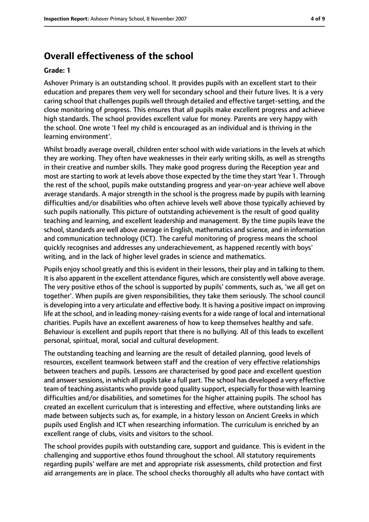## **Overall effectiveness of the school**

#### **Grade: 1**

Ashover Primary is an outstanding school. It provides pupils with an excellent start to their education and prepares them very well for secondary school and their future lives. It is a very caring school that challenges pupils well through detailed and effective target-setting, and the close monitoring of progress. This ensures that all pupils make excellent progress and achieve high standards. The school provides excellent value for money. Parents are very happy with the school. One wrote 'I feel my child is encouraged as an individual and is thriving in the learning environment'.

Whilst broadly average overall, children enter school with wide variations in the levels at which they are working. They often have weaknesses in their early writing skills, as well as strengths in their creative and number skills. They make good progress during the Reception year and most are starting to work at levels above those expected by the time they start Year 1. Through the rest of the school, pupils make outstanding progress and year-on-year achieve well above average standards. A major strength in the school is the progress made by pupils with learning difficulties and/or disabilities who often achieve levels well above those typically achieved by such pupils nationally. This picture of outstanding achievement is the result of good quality teaching and learning, and excellent leadership and management. By the time pupils leave the school, standards are well above average in English, mathematics and science, and in information and communication technology (ICT). The careful monitoring of progress means the school quickly recognises and addresses any underachievement, as happened recently with boys' writing, and in the lack of higher level grades in science and mathematics.

Pupils enjoy school greatly and this is evident in their lessons, their play and in talking to them. It is also apparent in the excellent attendance figures, which are consistently well above average. The very positive ethos of the school is supported by pupils' comments, such as, 'we all get on together'. When pupils are given responsibilities, they take them seriously. The school council is developing into a very articulate and effective body. It is having a positive impact on improving life at the school, and in leading money-raising events for a wide range of local and international charities. Pupils have an excellent awareness of how to keep themselves healthy and safe. Behaviour is excellent and pupils report that there is no bullying. All of this leads to excellent personal, spiritual, moral, social and cultural development.

The outstanding teaching and learning are the result of detailed planning, good levels of resources, excellent teamwork between staff and the creation of very effective relationships between teachers and pupils. Lessons are characterised by good pace and excellent question and answer sessions, in which all pupils take a full part. The school has developed a very effective team of teaching assistants who provide good quality support, especially for those with learning difficulties and/or disabilities, and sometimes for the higher attaining pupils. The school has created an excellent curriculum that is interesting and effective, where outstanding links are made between subjects such as, for example, in a history lesson on Ancient Greeks in which pupils used English and ICT when researching information. The curriculum is enriched by an excellent range of clubs, visits and visitors to the school.

The school provides pupils with outstanding care, support and guidance. This is evident in the challenging and supportive ethos found throughout the school. All statutory requirements regarding pupils' welfare are met and appropriate risk assessments, child protection and first aid arrangements are in place. The school checks thoroughly all adults who have contact with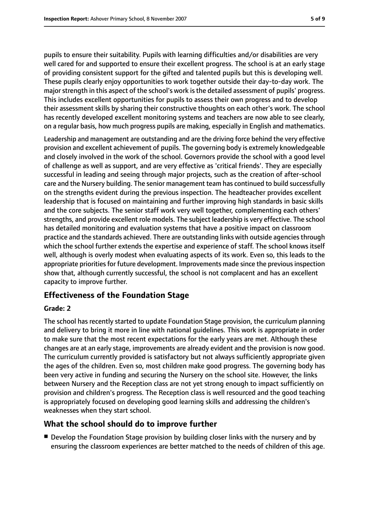pupils to ensure their suitability. Pupils with learning difficulties and/or disabilities are very well cared for and supported to ensure their excellent progress. The school is at an early stage of providing consistent support for the gifted and talented pupils but this is developing well. These pupils clearly enjoy opportunities to work together outside their day-to-day work. The major strength in this aspect of the school's work is the detailed assessment of pupils' progress. This includes excellent opportunities for pupils to assess their own progress and to develop their assessment skills by sharing their constructive thoughts on each other's work. The school has recently developed excellent monitoring systems and teachers are now able to see clearly, on a regular basis, how much progress pupils are making, especially in English and mathematics.

Leadership and management are outstanding and are the driving force behind the very effective provision and excellent achievement of pupils. The governing body is extremely knowledgeable and closely involved in the work of the school. Governors provide the school with a good level of challenge as well as support, and are very effective as 'critical friends'. They are especially successful in leading and seeing through major projects, such as the creation of after-school care and the Nursery building. The senior management team has continued to build successfully on the strengths evident during the previous inspection. The headteacher provides excellent leadership that is focused on maintaining and further improving high standards in basic skills and the core subjects. The senior staff work very well together, complementing each others' strengths, and provide excellent role models. The subject leadership is very effective. The school has detailed monitoring and evaluation systems that have a positive impact on classroom practice and the standards achieved. There are outstanding links with outside agencies through which the school further extends the expertise and experience of staff. The school knows itself well, although is overly modest when evaluating aspects of its work. Even so, this leads to the appropriate priorities for future development. Improvements made since the previous inspection show that, although currently successful, the school is not complacent and has an excellent capacity to improve further.

## **Effectiveness of the Foundation Stage**

#### **Grade: 2**

The school has recently started to update Foundation Stage provision, the curriculum planning and delivery to bring it more in line with national guidelines. This work is appropriate in order to make sure that the most recent expectations for the early years are met. Although these changes are at an early stage, improvements are already evident and the provision is now good. The curriculum currently provided is satisfactory but not always sufficiently appropriate given the ages of the children. Even so, most children make good progress. The governing body has been very active in funding and securing the Nursery on the school site. However, the links between Nursery and the Reception class are not yet strong enough to impact sufficiently on provision and children's progress. The Reception class is well resourced and the good teaching is appropriately focused on developing good learning skills and addressing the children's weaknesses when they start school.

## **What the school should do to improve further**

■ Develop the Foundation Stage provision by building closer links with the nursery and by ensuring the classroom experiences are better matched to the needs of children of this age.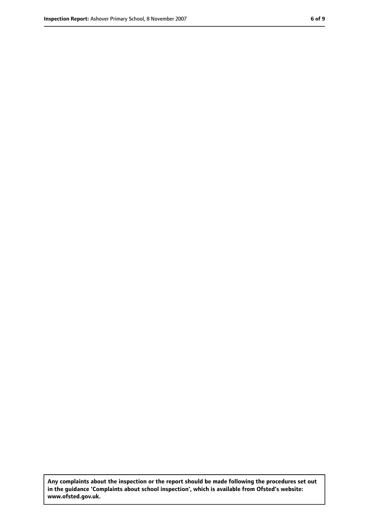**Any complaints about the inspection or the report should be made following the procedures set out in the guidance 'Complaints about school inspection', which is available from Ofsted's website: www.ofsted.gov.uk.**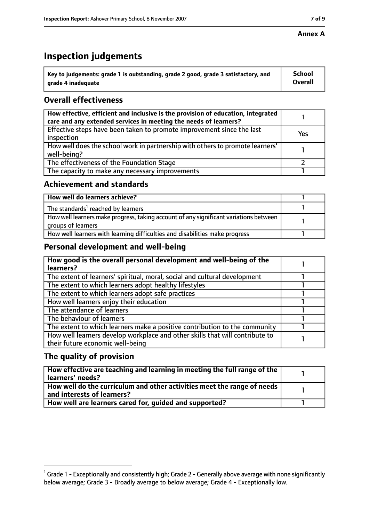#### **Annex A**

# **Inspection judgements**

| $^{\backprime}$ Key to judgements: grade 1 is outstanding, grade 2 good, grade 3 satisfactory, and | <b>School</b>  |
|----------------------------------------------------------------------------------------------------|----------------|
| arade 4 inadequate                                                                                 | <b>Overall</b> |

## **Overall effectiveness**

| How effective, efficient and inclusive is the provision of education, integrated<br>care and any extended services in meeting the needs of learners? |     |
|------------------------------------------------------------------------------------------------------------------------------------------------------|-----|
| Effective steps have been taken to promote improvement since the last<br>inspection                                                                  | Yes |
| How well does the school work in partnership with others to promote learners'<br>well-being?                                                         |     |
| The effectiveness of the Foundation Stage                                                                                                            |     |
| The capacity to make any necessary improvements                                                                                                      |     |

### **Achievement and standards**

| How well do learners achieve?                                                                               |  |
|-------------------------------------------------------------------------------------------------------------|--|
| The standards <sup>1</sup> reached by learners                                                              |  |
| How well learners make progress, taking account of any significant variations between<br>groups of learners |  |
| How well learners with learning difficulties and disabilities make progress                                 |  |

## **Personal development and well-being**

| How good is the overall personal development and well-being of the<br>learners?                                  |  |
|------------------------------------------------------------------------------------------------------------------|--|
| The extent of learners' spiritual, moral, social and cultural development                                        |  |
| The extent to which learners adopt healthy lifestyles                                                            |  |
| The extent to which learners adopt safe practices                                                                |  |
| How well learners enjoy their education                                                                          |  |
| The attendance of learners                                                                                       |  |
| The behaviour of learners                                                                                        |  |
| The extent to which learners make a positive contribution to the community                                       |  |
| How well learners develop workplace and other skills that will contribute to<br>their future economic well-being |  |

## **The quality of provision**

| How effective are teaching and learning in meeting the full range of the<br>learners' needs?          |  |
|-------------------------------------------------------------------------------------------------------|--|
| How well do the curriculum and other activities meet the range of needs<br>and interests of learners? |  |
| How well are learners cared for, quided and supported?                                                |  |

 $^1$  Grade 1 - Exceptionally and consistently high; Grade 2 - Generally above average with none significantly below average; Grade 3 - Broadly average to below average; Grade 4 - Exceptionally low.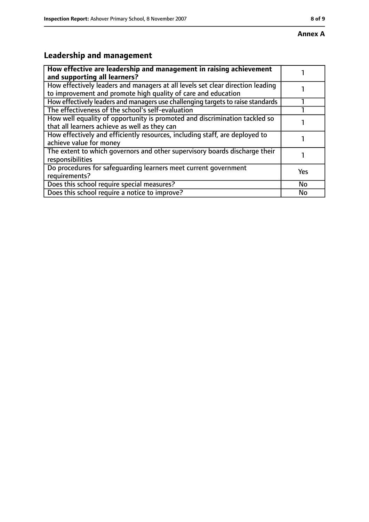# **Leadership and management**

| How effective are leadership and management in raising achievement<br>and supporting all learners?                                              |     |
|-------------------------------------------------------------------------------------------------------------------------------------------------|-----|
| How effectively leaders and managers at all levels set clear direction leading<br>to improvement and promote high quality of care and education |     |
| How effectively leaders and managers use challenging targets to raise standards                                                                 |     |
| The effectiveness of the school's self-evaluation                                                                                               |     |
| How well equality of opportunity is promoted and discrimination tackled so<br>that all learners achieve as well as they can                     |     |
| How effectively and efficiently resources, including staff, are deployed to<br>achieve value for money                                          |     |
| The extent to which governors and other supervisory boards discharge their<br>responsibilities                                                  |     |
| Do procedures for safequarding learners meet current government<br>requirements?                                                                | Yes |
| Does this school require special measures?                                                                                                      | No  |
| Does this school require a notice to improve?                                                                                                   | No  |